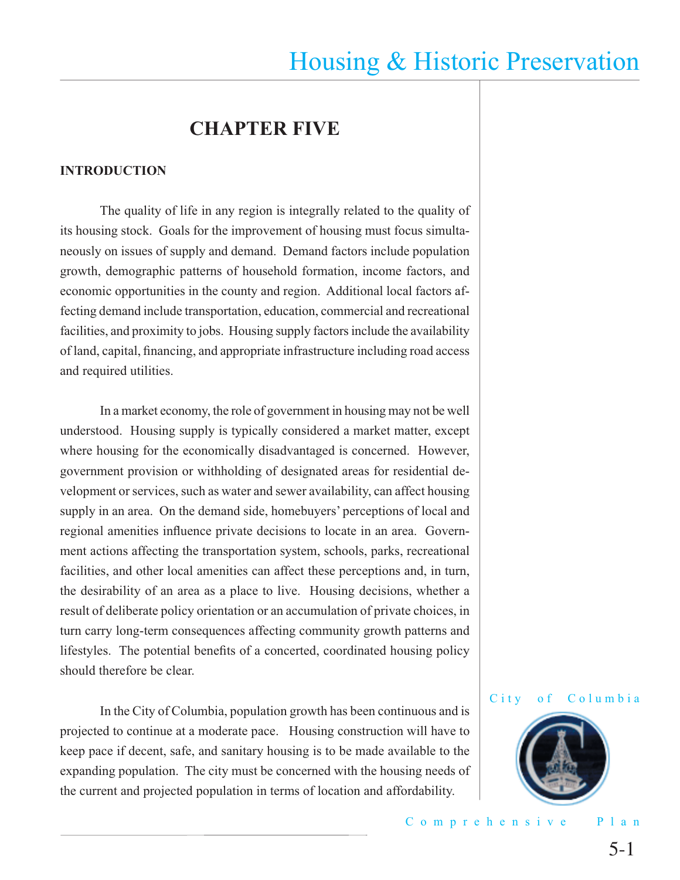## **CHAPTER FIVE**

#### **INTRODUCTION**

 The quality of life in any region is integrally related to the quality of its housing stock. Goals for the improvement of housing must focus simultaneously on issues of supply and demand. Demand factors include population growth, demographic patterns of household formation, income factors, and economic opportunities in the county and region. Additional local factors affecting demand include transportation, education, commercial and recreational facilities, and proximity to jobs. Housing supply factors include the availability of land, capital, financing, and appropriate infrastructure including road access and required utilities.

 In a market economy, the role of government in housing may not be well understood. Housing supply is typically considered a market matter, except where housing for the economically disadvantaged is concerned. However, government provision or withholding of designated areas for residential development or services, such as water and sewer availability, can affect housing supply in an area. On the demand side, homebuyers' perceptions of local and regional amenities influence private decisions to locate in an area. Government actions affecting the transportation system, schools, parks, recreational facilities, and other local amenities can affect these perceptions and, in turn, the desirability of an area as a place to live. Housing decisions, whether a result of deliberate policy orientation or an accumulation of private choices, in turn carry long-term consequences affecting community growth patterns and lifestyles. The potential benefits of a concerted, coordinated housing policy should therefore be clear.

 In the City of Columbia, population growth has been continuous and is projected to continue at a moderate pace. Housing construction will have to keep pace if decent, safe, and sanitary housing is to be made available to the expanding population. The city must be concerned with the housing needs of the current and projected population in terms of location and affordability.

#### City of Columbia



Comprehensive Plan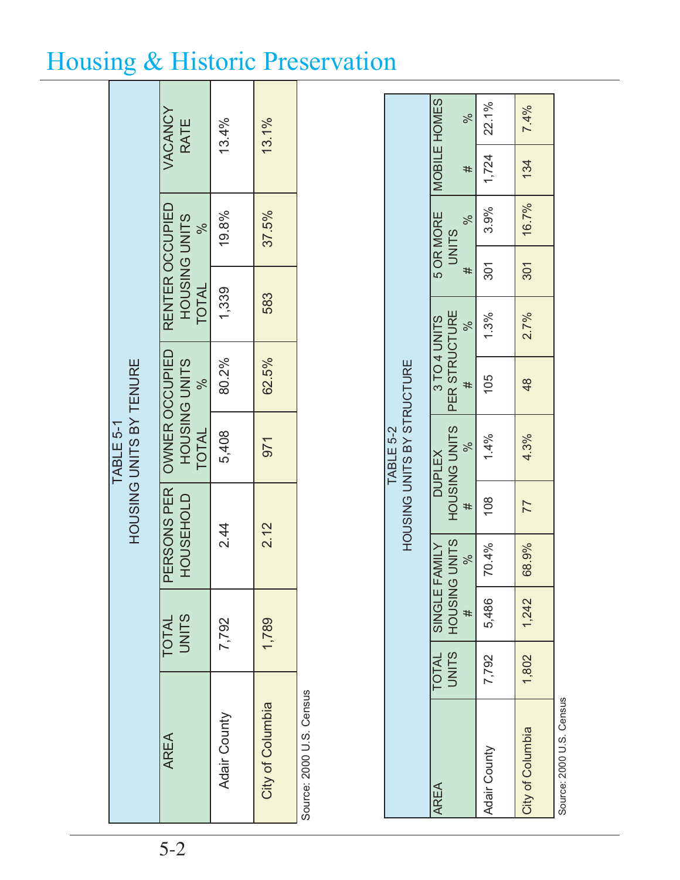|                                      | VACANCY<br>RATE                           | 13.4%        | 13.1%            |
|--------------------------------------|-------------------------------------------|--------------|------------------|
|                                      | $-\sqrt{6}$                               | 19.8%        | 37.5%            |
|                                      | RENTER OCCUPIED<br>HOUSING UNITS<br>TOTAL | 1,339        | 583              |
|                                      | HOUSING UNITS<br>$-96$                    | 80.2%        | 62.5%            |
| HOUSING UNITS BY TENURE<br>TABLE 5-1 | TOTAL                                     | 5,408        | 971              |
|                                      | PERSONS PER   OWNER OCCUPIED<br>HOUSEHOLD | 2.44         | 2.12             |
|                                      | TOTAL<br>UNITS                            | 7,792        | 1,789            |
|                                      | AREA                                      | Adair County | City of Columbia |

Source: 2000 U.S. Census Source: 2000 U.S. Census

|                  |       |                                       |               |                | HOUSING UNITS BY STRUCTURE<br>TABLE 5-2      |               |                 |              |               |                      |                      |
|------------------|-------|---------------------------------------|---------------|----------------|----------------------------------------------|---------------|-----------------|--------------|---------------|----------------------|----------------------|
| <b>AREA</b>      |       | JNITS   HOUSING UNITS<br>TOTAL SINGLE | <b>FAMILY</b> |                | HOUSING UNITS PER STRUCTURE<br><b>DUPLEX</b> | 3 TO 4 UNITS  |                 | <b>UNITS</b> | 5 OR MORE     | <b>IMOBILE HOMES</b> |                      |
|                  |       | #                                     | <sub>2</sub>  | #              | $\blacklozenge$                              | #             | <sup>o</sup> co | #            | $\rightarrow$ | #                    | $\rightarrow \infty$ |
| Adair County     | 7,792 | 5,486                                 | 70.4%         | 108            | 1.4%                                         | 105           | 1.3%            | 301          | 3.9%          | $1,724$ 22.1%        |                      |
| City of Columbia | 1,802 | 1,242                                 | 68.9%         | $\overline{1}$ | 4.3%                                         | $\frac{8}{3}$ | 2.7%            | 301          |               | $16.7\%$ 134 7.4%    |                      |
| $C = C$          |       |                                       |               |                |                                              |               |                 |              |               |                      |                      |

Source: 2000 U.S. Census Source: 2007. isolato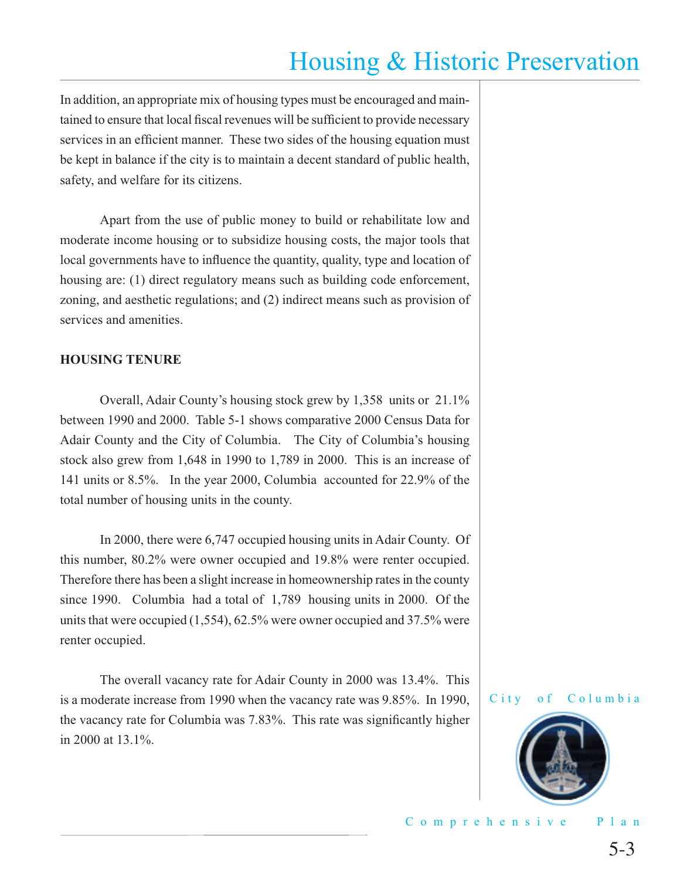In addition, an appropriate mix of housing types must be encouraged and maintained to ensure that local fiscal revenues will be sufficient to provide necessary services in an efficient manner. These two sides of the housing equation must be kept in balance if the city is to maintain a decent standard of public health, safety, and welfare for its citizens.

 Apart from the use of public money to build or rehabilitate low and moderate income housing or to subsidize housing costs, the major tools that local governments have to influence the quantity, quality, type and location of housing are: (1) direct regulatory means such as building code enforcement, zoning, and aesthetic regulations; and (2) indirect means such as provision of services and amenities.

#### **HOUSING TENURE**

Overall, Adair County's housing stock grew by 1,358 units or 21.1% between 1990 and 2000. Table 5-1 shows comparative 2000 Census Data for Adair County and the City of Columbia. The City of Columbia's housing stock also grew from 1,648 in 1990 to 1,789 in 2000. This is an increase of 141 units or 8.5%. In the year 2000, Columbia accounted for 22.9% of the total number of housing units in the county.

 In 2000, there were 6,747 occupied housing units in Adair County. Of this number, 80.2% were owner occupied and 19.8% were renter occupied. Therefore there has been a slight increase in homeownership rates in the county since 1990. Columbia had a total of 1,789 housing units in 2000. Of the units that were occupied (1,554), 62.5% were owner occupied and 37.5% were renter occupied.

 The overall vacancy rate for Adair County in 2000 was 13.4%. This is a moderate increase from 1990 when the vacancy rate was 9.85%. In 1990, the vacancy rate for Columbia was 7.83%. This rate was significantly higher in 2000 at 13.1%.

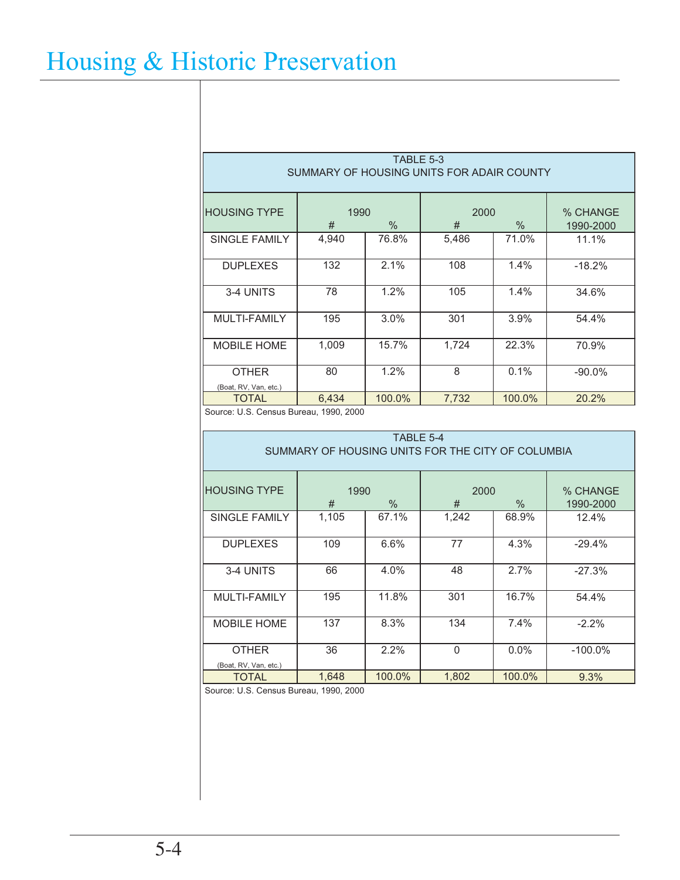| TABLE 5-3<br>SUMMARY OF HOUSING UNITS FOR ADAIR COUNTY |           |        |           |        |                       |  |  |  |  |  |
|--------------------------------------------------------|-----------|--------|-----------|--------|-----------------------|--|--|--|--|--|
| <b>HOUSING TYPE</b>                                    | 1990<br># | $\%$   | 2000<br># | $\%$   | % CHANGE<br>1990-2000 |  |  |  |  |  |
| SINGLE FAMILY                                          | 4,940     | 76.8%  | 5,486     | 71.0%  | 11.1%                 |  |  |  |  |  |
| <b>DUPLEXES</b>                                        | 132       | 2.1%   | 108       | 1.4%   | $-18.2%$              |  |  |  |  |  |
| 3-4 UNITS                                              | 78        | 1.2%   | 105       | 1.4%   | 34.6%                 |  |  |  |  |  |
| MULTI-FAMILY                                           | 195       | 3.0%   | 301       | 3.9%   | 54.4%                 |  |  |  |  |  |
| <b>MOBILE HOME</b>                                     | 1,009     | 15.7%  | 1,724     | 22.3%  | 70.9%                 |  |  |  |  |  |
| <b>OTHER</b><br>(Boat, RV, Van, etc.)                  | 80        | 1.2%   | 8         | 0.1%   | $-90.0\%$             |  |  |  |  |  |
| <b>TOTAL</b>                                           | 6,434     | 100.0% | 7,732     | 100.0% | 20.2%                 |  |  |  |  |  |

Source: U.S. Census Bureau, 1990, 2000

| TABLE 5-4<br>SUMMARY OF HOUSING UNITS FOR THE CITY OF COLUMBIA |           |               |           |               |                       |  |  |  |  |  |
|----------------------------------------------------------------|-----------|---------------|-----------|---------------|-----------------------|--|--|--|--|--|
|                                                                |           |               |           |               |                       |  |  |  |  |  |
| <b>HOUSING TYPE</b>                                            | 1990<br># | $\frac{0}{0}$ | 2000<br># | $\frac{0}{0}$ | % CHANGE<br>1990-2000 |  |  |  |  |  |
| SINGLE FAMILY                                                  | 1,105     | 67.1%         | 1,242     | 68.9%         | 12.4%                 |  |  |  |  |  |
| <b>DUPLEXES</b>                                                | 109       | 6.6%          | 77        | 4.3%          | $-29.4%$              |  |  |  |  |  |
| 3-4 UNITS                                                      | 66        | 4.0%          | 48        | 2.7%          | $-27.3%$              |  |  |  |  |  |
| MULTI-FAMILY                                                   | 195       | 11.8%         | 301       | 16.7%         | 54.4%                 |  |  |  |  |  |
| <b>MOBILE HOME</b>                                             | 137       | 8.3%          | 134       | 7.4%          | $-2.2%$               |  |  |  |  |  |
| <b>OTHER</b><br>(Boat, RV, Van, etc.)                          | 36        | 2.2%          | $\Omega$  | $0.0\%$       | $-100.0\%$            |  |  |  |  |  |
| TOTAL                                                          | 1,648     | 100.0%        | 1,802     | 100.0%        | 9.3%                  |  |  |  |  |  |

Source: U.S. Census Bureau, 1990, 2000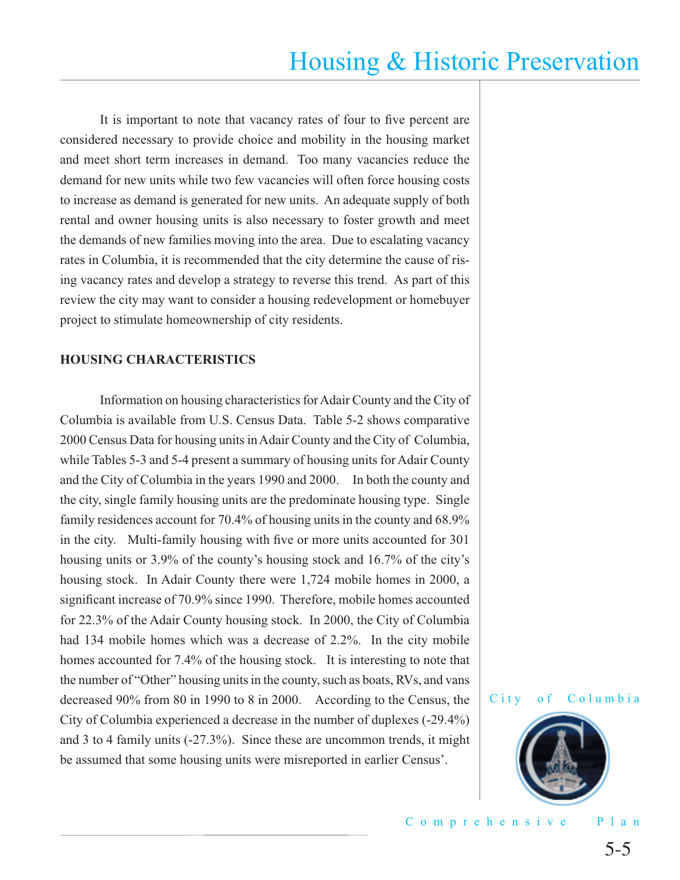It is important to note that vacancy rates of four to five percent are considered necessary to provide choice and mobility in the housing market and meet short term increases in demand. Too many vacancies reduce the demand for new units while two few vacancies will often force housing costs to increase as demand is generated for new units. An adequate supply of both rental and owner housing units is also necessary to foster growth and meet the demands of new families moving into the area. Due to escalating vacancy rates in Columbia, it is recommended that the city determine the cause of rising vacancy rates and develop a strategy to reverse this trend. As part of this review the city may want to consider a housing redevelopment or homebuyer project to stimulate homeownership of city residents.

#### **HOUSING CHARACTERISTICS**

 Information on housing characteristics for Adair County and the City of Columbia is available from U.S. Census Data. Table 5-2 shows comparative 2000 Census Data for housing units in Adair County and the City of Columbia, while Tables 5-3 and 5-4 present a summary of housing units for Adair County and the City of Columbia in the years 1990 and 2000. In both the county and the city, single family housing units are the predominate housing type. Single family residences account for 70.4% of housing units in the county and 68.9% in the city. Multi-family housing with five or more units accounted for 301 housing units or 3.9% of the county's housing stock and 16.7% of the city's housing stock. In Adair County there were 1,724 mobile homes in 2000, a significant increase of 70.9% since 1990. Therefore, mobile homes accounted for 22.3% of the Adair County housing stock. In 2000, the City of Columbia had 134 mobile homes which was a decrease of 2.2%. In the city mobile homes accounted for 7.4% of the housing stock. It is interesting to note that the number of "Other" housing units in the county, such as boats, RVs, and vans decreased 90% from 80 in 1990 to 8 in 2000. According to the Census, the City of Columbia experienced a decrease in the number of duplexes (-29.4%) and 3 to 4 family units (-27.3%). Since these are uncommon trends, it might be assumed that some housing units were misreported in earlier Census'.



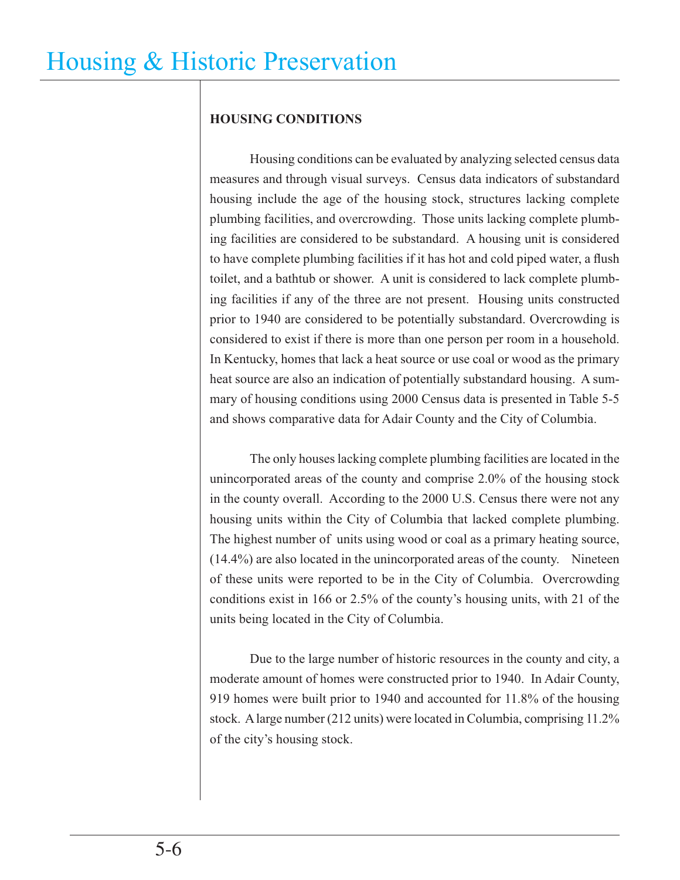## **HOUSING CONDITIONS**

 Housing conditions can be evaluated by analyzing selected census data measures and through visual surveys. Census data indicators of substandard housing include the age of the housing stock, structures lacking complete plumbing facilities, and overcrowding. Those units lacking complete plumbing facilities are considered to be substandard. A housing unit is considered to have complete plumbing facilities if it has hot and cold piped water, a flush toilet, and a bathtub or shower. A unit is considered to lack complete plumbing facilities if any of the three are not present. Housing units constructed prior to 1940 are considered to be potentially substandard. Overcrowding is considered to exist if there is more than one person per room in a household. In Kentucky, homes that lack a heat source or use coal or wood as the primary heat source are also an indication of potentially substandard housing. A summary of housing conditions using 2000 Census data is presented in Table 5-5 and shows comparative data for Adair County and the City of Columbia.

 The only houses lacking complete plumbing facilities are located in the unincorporated areas of the county and comprise 2.0% of the housing stock in the county overall. According to the 2000 U.S. Census there were not any housing units within the City of Columbia that lacked complete plumbing. The highest number of units using wood or coal as a primary heating source, (14.4%) are also located in the unincorporated areas of the county. Nineteen of these units were reported to be in the City of Columbia. Overcrowding conditions exist in 166 or 2.5% of the county's housing units, with 21 of the units being located in the City of Columbia.

 Due to the large number of historic resources in the county and city, a moderate amount of homes were constructed prior to 1940. In Adair County, 919 homes were built prior to 1940 and accounted for 11.8% of the housing stock. A large number (212 units) were located in Columbia, comprising 11.2% of the city's housing stock.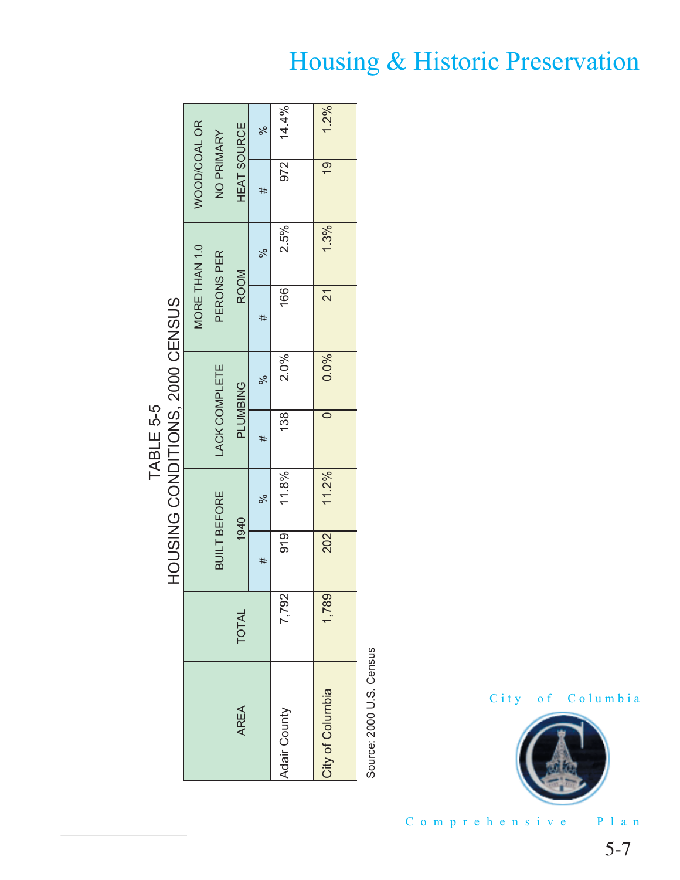|                                 |                     |                      |                    | ×ೆ    | 14.4%        | 1.2%             |      |      |
|---------------------------------|---------------------|----------------------|--------------------|-------|--------------|------------------|------|------|
|                                 | <b>WOOD/COAL OR</b> | NO PRIMARY           | <b>HEAT SOURCE</b> | #     | 972          | $\overline{9}$   |      |      |
|                                 |                     |                      |                    | -0%   | 2.5%         | 1.3%             |      |      |
|                                 | MORE THAN 1.0       | PERONS PER           | <b>ROOM</b>        | #     | 166          | Z1               |      |      |
|                                 |                     |                      | <b>PLUMBING</b>    |       |              | $-96$            | 2.0% | 0.0% |
| HOUSING CONDITIONS, 2000 CENSUS |                     | <b>LACK COMPLETE</b> |                    | #     | 138          |                  |      |      |
|                                 |                     |                      | 1940               | $-96$ | 11.8%        | 11.2%            |      |      |
|                                 |                     | <b>BUILT BEFORE</b>  |                    | #     | 919          | 202              |      |      |
|                                 |                     |                      | TOTAL              |       | 7,792        | 1,789            |      |      |
|                                 |                     |                      | AREA               |       | Adair County | City of Columbia |      |      |

# TABLE 5-5 TABLE 5-5

Source: 2000 U.S. Census Source: 2000 U.S. Census

## City of Columbia

Comprehensive Plan

# Housing & Historic Preservation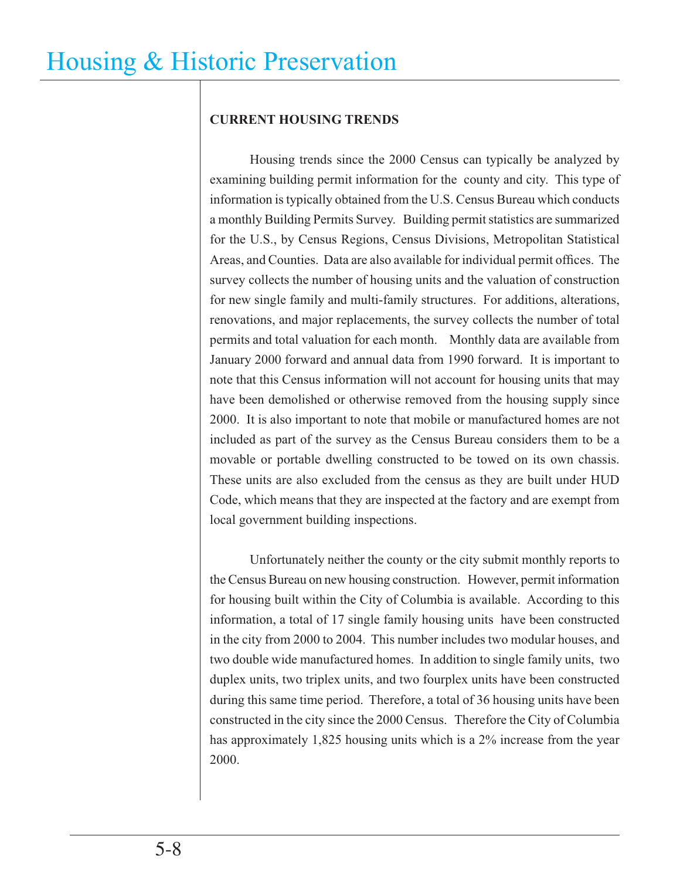## **CURRENT HOUSING TRENDS**

 Housing trends since the 2000 Census can typically be analyzed by examining building permit information for the county and city. This type of information is typically obtained from the U.S. Census Bureau which conducts a monthly Building Permits Survey. Building permit statistics are summarized for the U.S., by Census Regions, Census Divisions, Metropolitan Statistical Areas, and Counties. Data are also available for individual permit offices. The survey collects the number of housing units and the valuation of construction for new single family and multi-family structures. For additions, alterations, renovations, and major replacements, the survey collects the number of total permits and total valuation for each month. Monthly data are available from January 2000 forward and annual data from 1990 forward. It is important to note that this Census information will not account for housing units that may have been demolished or otherwise removed from the housing supply since 2000. It is also important to note that mobile or manufactured homes are not included as part of the survey as the Census Bureau considers them to be a movable or portable dwelling constructed to be towed on its own chassis. These units are also excluded from the census as they are built under HUD Code, which means that they are inspected at the factory and are exempt from local government building inspections.

 Unfortunately neither the county or the city submit monthly reports to the Census Bureau on new housing construction. However, permit information for housing built within the City of Columbia is available. According to this information, a total of 17 single family housing units have been constructed in the city from 2000 to 2004. This number includes two modular houses, and two double wide manufactured homes. In addition to single family units, two duplex units, two triplex units, and two fourplex units have been constructed during this same time period. Therefore, a total of 36 housing units have been constructed in the city since the 2000 Census. Therefore the City of Columbia has approximately 1,825 housing units which is a 2% increase from the year 2000.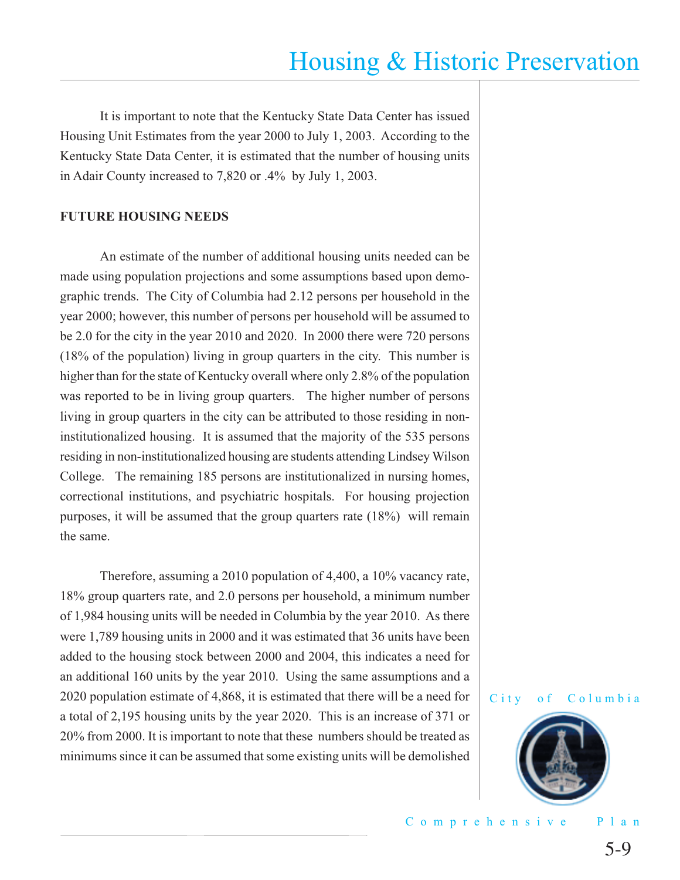It is important to note that the Kentucky State Data Center has issued Housing Unit Estimates from the year 2000 to July 1, 2003. According to the Kentucky State Data Center, it is estimated that the number of housing units in Adair County increased to 7,820 or .4% by July 1, 2003.

#### **FUTURE HOUSING NEEDS**

 An estimate of the number of additional housing units needed can be made using population projections and some assumptions based upon demographic trends. The City of Columbia had 2.12 persons per household in the year 2000; however, this number of persons per household will be assumed to be 2.0 for the city in the year 2010 and 2020. In 2000 there were 720 persons (18% of the population) living in group quarters in the city. This number is higher than for the state of Kentucky overall where only 2.8% of the population was reported to be in living group quarters. The higher number of persons living in group quarters in the city can be attributed to those residing in noninstitutionalized housing. It is assumed that the majority of the 535 persons residing in non-institutionalized housing are students attending Lindsey Wilson College. The remaining 185 persons are institutionalized in nursing homes, correctional institutions, and psychiatric hospitals. For housing projection purposes, it will be assumed that the group quarters rate (18%) will remain the same.

Therefore, assuming a 2010 population of 4,400, a 10% vacancy rate, 18% group quarters rate, and 2.0 persons per household, a minimum number of 1,984 housing units will be needed in Columbia by the year 2010. As there were 1,789 housing units in 2000 and it was estimated that 36 units have been added to the housing stock between 2000 and 2004, this indicates a need for an additional 160 units by the year 2010. Using the same assumptions and a 2020 population estimate of 4,868, it is estimated that there will be a need for a total of 2,195 housing units by the year 2020. This is an increase of 371 or 20% from 2000. It is important to note that these numbers should be treated as minimums since it can be assumed that some existing units will be demolished



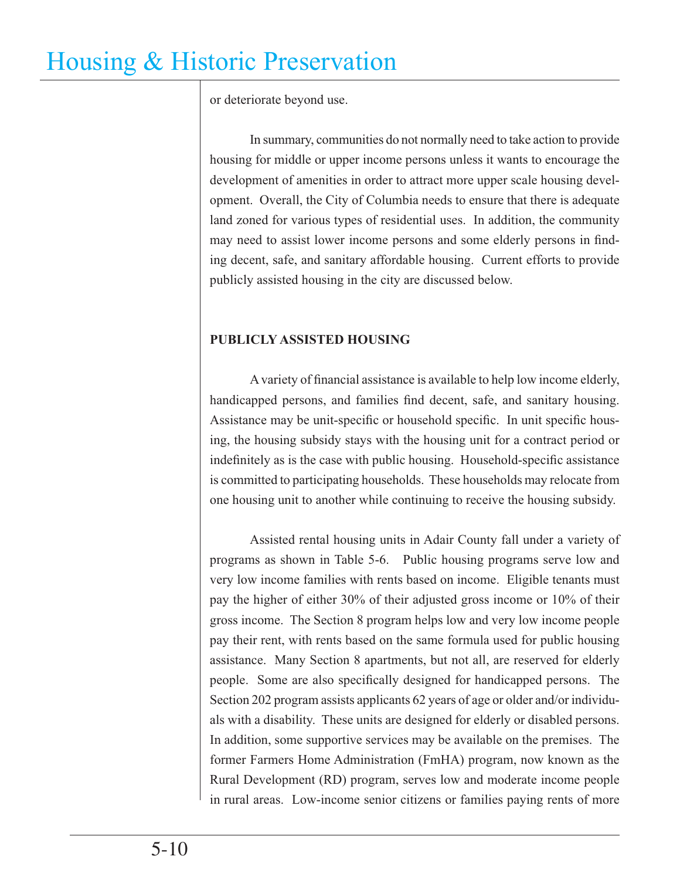or deteriorate beyond use.

 In summary, communities do not normally need to take action to provide housing for middle or upper income persons unless it wants to encourage the development of amenities in order to attract more upper scale housing development. Overall, the City of Columbia needs to ensure that there is adequate land zoned for various types of residential uses. In addition, the community may need to assist lower income persons and some elderly persons in finding decent, safe, and sanitary affordable housing. Current efforts to provide publicly assisted housing in the city are discussed below.

## **PUBLICLY ASSISTED HOUSING**

A variety of financial assistance is available to help low income elderly, handicapped persons, and families find decent, safe, and sanitary housing. Assistance may be unit-specific or household specific. In unit specific housing, the housing subsidy stays with the housing unit for a contract period or indefinitely as is the case with public housing. Household-specific assistance is committed to participating households. These households may relocate from one housing unit to another while continuing to receive the housing subsidy.

 Assisted rental housing units in Adair County fall under a variety of programs as shown in Table 5-6.Public housing programs serve low and very low income families with rents based on income. Eligible tenants must pay the higher of either 30% of their adjusted gross income or 10% of their gross income. The Section 8 program helps low and very low income people pay their rent, with rents based on the same formula used for public housing assistance. Many Section 8 apartments, but not all, are reserved for elderly people. Some are also specifically designed for handicapped persons. The Section 202 program assists applicants 62 years of age or older and/or individuals with a disability. These units are designed for elderly or disabled persons. In addition, some supportive services may be available on the premises. The former Farmers Home Administration (FmHA) program, now known as the Rural Development (RD) program, serves low and moderate income people in rural areas. Low-income senior citizens or families paying rents of more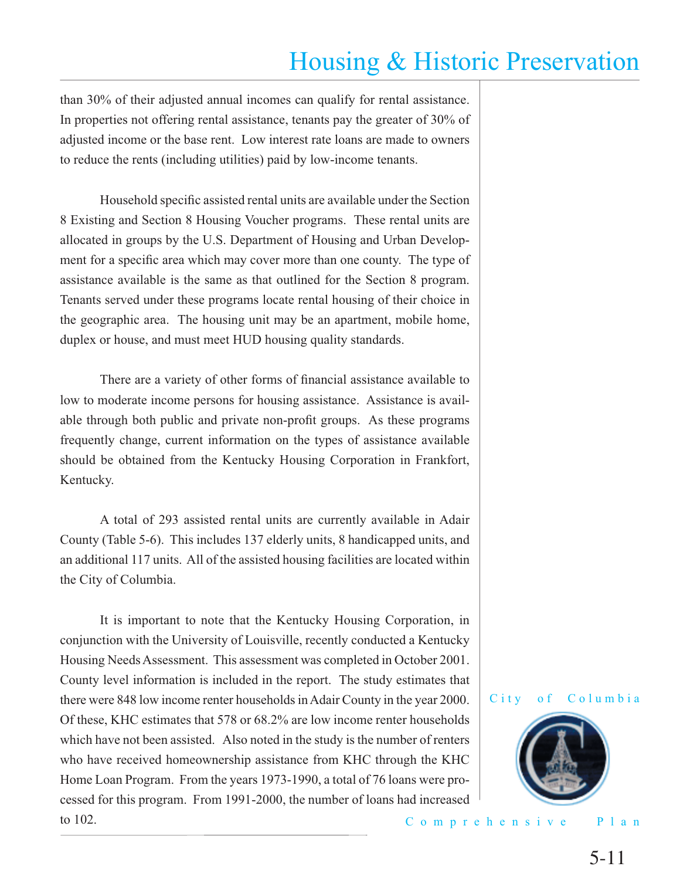than 30% of their adjusted annual incomes can qualify for rental assistance. In properties not offering rental assistance, tenants pay the greater of 30% of adjusted income or the base rent. Low interest rate loans are made to owners to reduce the rents (including utilities) paid by low-income tenants.

Household specific assisted rental units are available under the Section 8 Existing and Section 8 Housing Voucher programs. These rental units are allocated in groups by the U.S. Department of Housing and Urban Development for a specific area which may cover more than one county. The type of assistance available is the same as that outlined for the Section 8 program. Tenants served under these programs locate rental housing of their choice in the geographic area. The housing unit may be an apartment, mobile home, duplex or house, and must meet HUD housing quality standards.

There are a variety of other forms of financial assistance available to low to moderate income persons for housing assistance. Assistance is available through both public and private non-profit groups. As these programs frequently change, current information on the types of assistance available should be obtained from the Kentucky Housing Corporation in Frankfort, Kentucky.

 A total of 293 assisted rental units are currently available in Adair County (Table 5-6). This includes 137 elderly units, 8 handicapped units, and an additional 117 units. All of the assisted housing facilities are located within the City of Columbia.

 It is important to note that the Kentucky Housing Corporation, in conjunction with the University of Louisville, recently conducted a Kentucky Housing Needs Assessment. This assessment was completed in October 2001. County level information is included in the report. The study estimates that there were 848 low income renter households in Adair County in the year 2000. Of these, KHC estimates that 578 or 68.2% are low income renter households which have not been assisted. Also noted in the study is the number of renters who have received homeownership assistance from KHC through the KHC Home Loan Program. From the years 1973-1990, a total of 76 loans were processed for this program. From 1991-2000, the number of loans had increased to 102.





Comprehensive Plan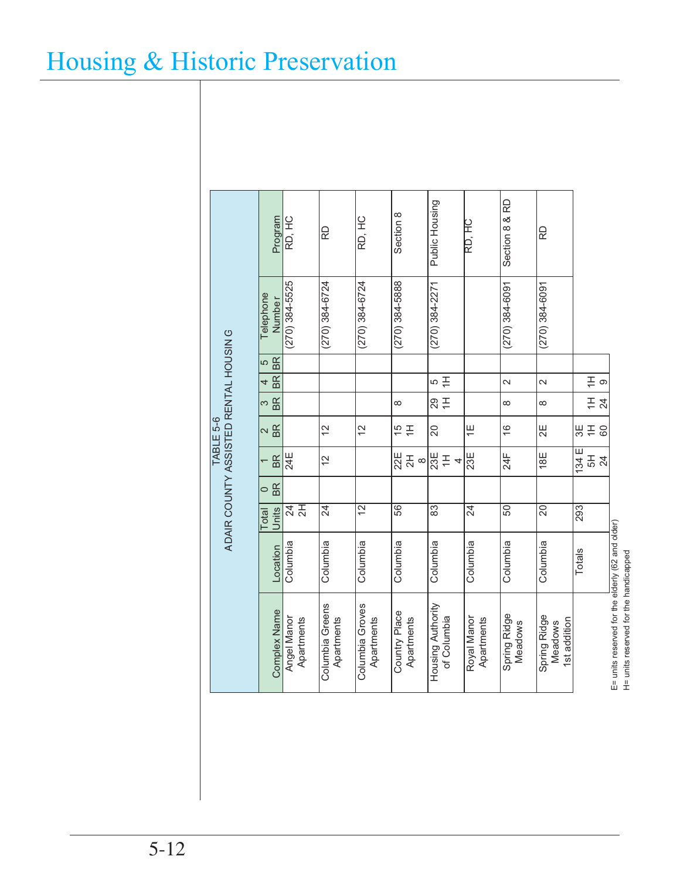|                                                   | Program                         | RD, HC                    | RD                            | RD, HC                        | Section 8                   | Public Housing                    | RD, HC                    | Section 8 & RD                 | RD                                      |                                  |
|---------------------------------------------------|---------------------------------|---------------------------|-------------------------------|-------------------------------|-----------------------------|-----------------------------------|---------------------------|--------------------------------|-----------------------------------------|----------------------------------|
|                                                   | Telephone<br>Numbe <sub>r</sub> | $(270)$ 384-5525          | $(270)$ 384-6724              | $(270)$ 384-6724              | $(270)$ 384-5888            | $(270)$ 384-2271                  |                           | $(270)$ 384-6091               | $(270)$ 384-6091                        |                                  |
|                                                   | BR<br>5                         |                           |                               |                               |                             |                                   |                           |                                |                                         |                                  |
| ADAIR COUNTY ASSISTED RENTAL HOUSING<br>TABLE 5-6 | <b>BR</b><br>4                  |                           |                               |                               |                             | $\cong$<br>5                      |                           | $\overline{\mathcal{L}}$       | $\sim$                                  | $\stackrel{\pm}{\pm}$<br>$\circ$ |
|                                                   | BR<br>3                         |                           |                               |                               | $\infty$                    | $\frac{1}{20}$                    |                           | $\infty$                       | $\infty$                                | $\stackrel{\pm}{\pm}$<br>24      |
|                                                   | <b>BR</b><br>$\mathbf{\Omega}$  |                           | 12                            | $\overline{2}$                | $\frac{1}{2}$               | 20                                | $\overline{=}$            | $\frac{6}{5}$                  | $\overline{2}E$                         | 유생<br>60                         |
|                                                   | BR                              | 24E                       | 12                            |                               | $22E$<br>2H<br>$\infty$     | $\frac{1}{23E}$<br>$\overline{4}$ | 23E                       | $24$ F                         | 18E                                     | 134E <br>$\frac{5}{4}$           |
|                                                   | <b>BR</b><br>$\circ$            |                           |                               |                               |                             |                                   |                           |                                |                                         |                                  |
|                                                   | <b>Units</b><br>Total           | 24<br>2H                  | 24                            | 12                            | 56                          | $\overline{83}$                   | 24                        | 50                             | 20                                      | 293                              |
|                                                   | Location                        | Columbia                  | Columbia                      | Columbia                      | Columbia                    | Columbia                          | Columbia                  | Columbia                       | Columbia                                | Totals                           |
|                                                   | <b>Complex Name</b>             | Apartments<br>Angel Manor | Columbia Greens<br>Apartments | Columbia Groves<br>Apartments | Country Place<br>Apartments | Housing Authority<br>of Columbia  | Royal Manor<br>Apartments | Spring Ridge<br><b>Meadows</b> | Spring Ridge<br>1st addition<br>Meadows |                                  |

E= units reserved for the elderly (62 and older)<br>H= units reserved for the handicapped E= units reserved for the elderly (62 and older) H= units reserved for the handicapped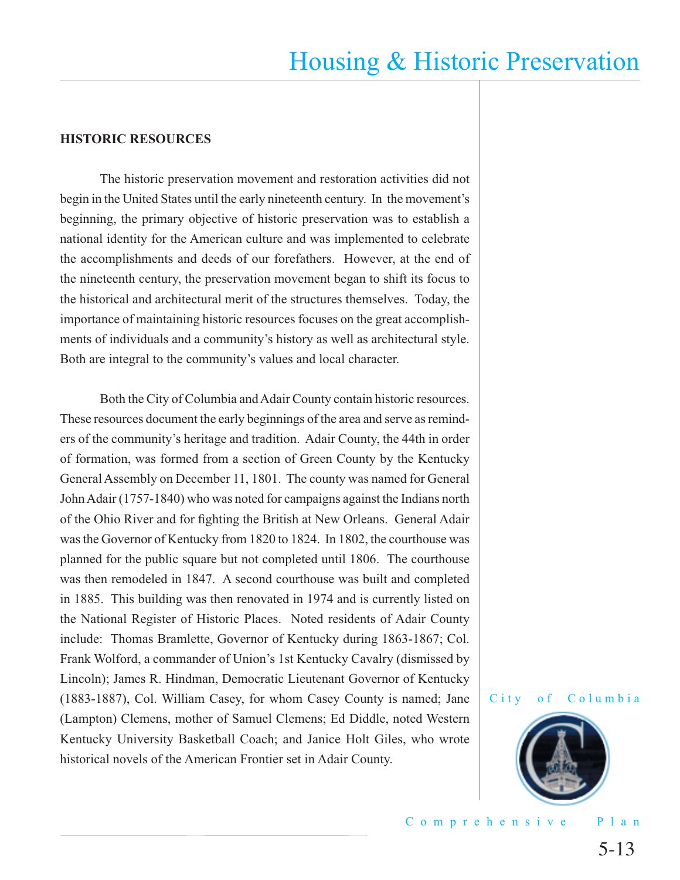#### **HISTORIC RESOURCES**

The historic preservation movement and restoration activities did not begin in the United States until the early nineteenth century. In the movement's beginning, the primary objective of historic preservation was to establish a national identity for the American culture and was implemented to celebrate the accomplishments and deeds of our forefathers. However, at the end of the nineteenth century, the preservation movement began to shift its focus to the historical and architectural merit of the structures themselves. Today, the importance of maintaining historic resources focuses on the great accomplishments of individuals and a community's history as well as architectural style. Both are integral to the community's values and local character.

 Both the City of Columbia and Adair County contain historic resources. These resources document the early beginnings of the area and serve as reminders of the community's heritage and tradition. Adair County, the 44th in order of formation, was formed from a section of Green County by the Kentucky General Assembly on December 11, 1801. The county was named for General John Adair (1757-1840) who was noted for campaigns against the Indians north of the Ohio River and for fighting the British at New Orleans. General Adair was the Governor of Kentucky from 1820 to 1824. In 1802, the courthouse was planned for the public square but not completed until 1806. The courthouse was then remodeled in 1847. A second courthouse was built and completed in 1885. This building was then renovated in 1974 and is currently listed on the National Register of Historic Places. Noted residents of Adair County include: Thomas Bramlette, Governor of Kentucky during 1863-1867; Col. Frank Wolford, a commander of Union's 1st Kentucky Cavalry (dismissed by Lincoln); James R. Hindman, Democratic Lieutenant Governor of Kentucky (1883-1887), Col. William Casey, for whom Casey County is named; Jane (Lampton) Clemens, mother of Samuel Clemens; Ed Diddle, noted Western Kentucky University Basketball Coach; and Janice Holt Giles, who wrote historical novels of the American Frontier set in Adair County.



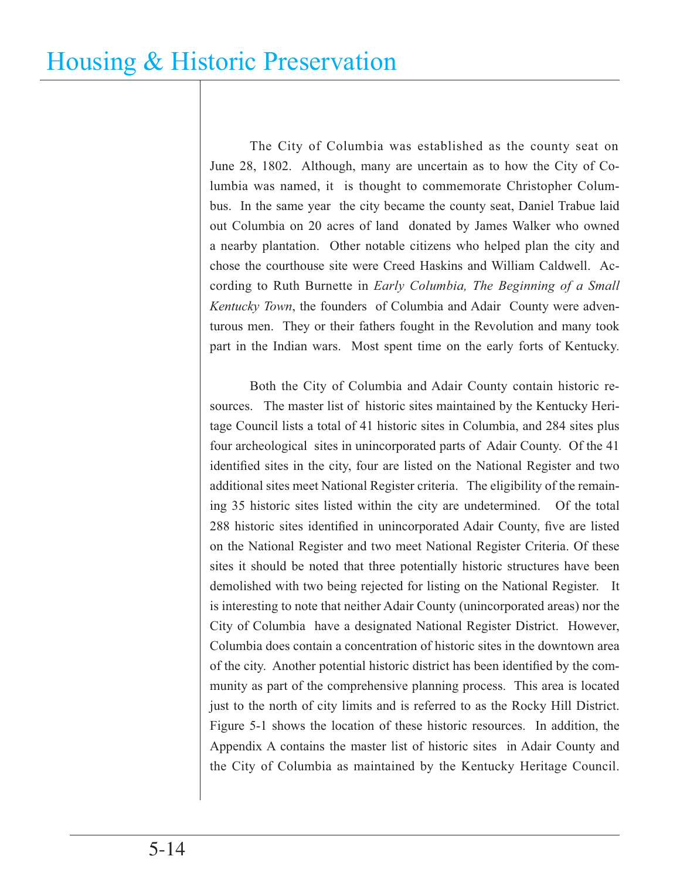The City of Columbia was established as the county seat on June 28, 1802. Although, many are uncertain as to how the City of Columbia was named, it is thought to commemorate Christopher Columbus. In the same year the city became the county seat, Daniel Trabue laid out Columbia on 20 acres of land donated by James Walker who owned a nearby plantation. Other notable citizens who helped plan the city and chose the courthouse site were Creed Haskins and William Caldwell. According to Ruth Burnette in *Early Columbia, The Beginning of a Small Kentucky Town*, the founders of Columbia and Adair County were adventurous men. They or their fathers fought in the Revolution and many took part in the Indian wars. Most spent time on the early forts of Kentucky.

 Both the City of Columbia and Adair County contain historic resources. The master list of historic sites maintained by the Kentucky Heritage Council lists a total of 41 historic sites in Columbia, and 284 sites plus four archeological sites in unincorporated parts of Adair County. Of the 41 identified sites in the city, four are listed on the National Register and two additional sites meet National Register criteria. The eligibility of the remaining 35 historic sites listed within the city are undetermined. Of the total 288 historic sites identified in unincorporated Adair County, five are listed on the National Register and two meet National Register Criteria. Of these sites it should be noted that three potentially historic structures have been demolished with two being rejected for listing on the National Register. It is interesting to note that neither Adair County (unincorporated areas) nor the City of Columbia have a designated National Register District. However, Columbia does contain a concentration of historic sites in the downtown area of the city. Another potential historic district has been identified by the community as part of the comprehensive planning process. This area is located just to the north of city limits and is referred to as the Rocky Hill District. Figure 5-1 shows the location of these historic resources. In addition, the Appendix A contains the master list of historic sites in Adair County and the City of Columbia as maintained by the Kentucky Heritage Council.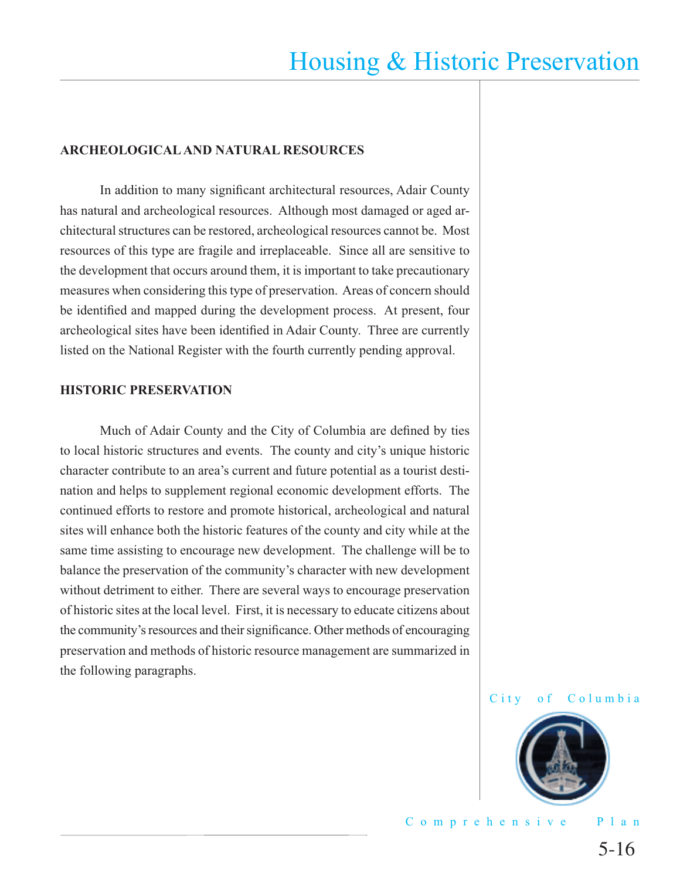#### **ARCHEOLOGICAL AND NATURAL RESOURCES**

In addition to many significant architectural resources, Adair County has natural and archeological resources. Although most damaged or aged architectural structures can be restored, archeological resources cannot be. Most resources of this type are fragile and irreplaceable. Since all are sensitive to the development that occurs around them, it is important to take precautionary measures when considering this type of preservation. Areas of concern should be identified and mapped during the development process. At present, four archeological sites have been identified in Adair County. Three are currently listed on the National Register with the fourth currently pending approval.

#### **HISTORIC PRESERVATION**

Much of Adair County and the City of Columbia are defined by ties to local historic structures and events. The county and city's unique historic character contribute to an area's current and future potential as a tourist destination and helps to supplement regional economic development efforts. The continued efforts to restore and promote historical, archeological and natural sites will enhance both the historic features of the county and city while at the same time assisting to encourage new development. The challenge will be to balance the preservation of the community's character with new development without detriment to either. There are several ways to encourage preservation of historic sites at the local level. First, it is necessary to educate citizens about the community's resources and their significance. Other methods of encouraging preservation and methods of historic resource management are summarized in the following paragraphs.



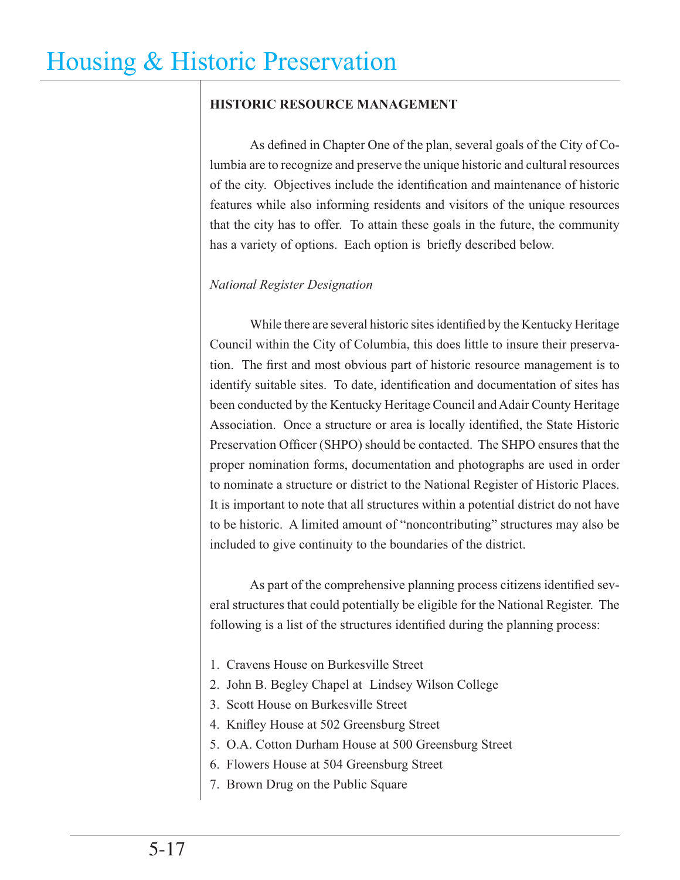### **HISTORIC RESOURCE MANAGEMENT**

As defined in Chapter One of the plan, several goals of the City of Columbia are to recognize and preserve the unique historic and cultural resources of the city. Objectives include the identification and maintenance of historic features while also informing residents and visitors of the unique resources that the city has to offer. To attain these goals in the future, the community has a variety of options. Each option is briefly described below.

## *National Register Designation*

While there are several historic sites identified by the Kentucky Heritage Council within the City of Columbia, this does little to insure their preservation. The first and most obvious part of historic resource management is to identify suitable sites. To date, identification and documentation of sites has been conducted by the Kentucky Heritage Council and Adair County Heritage Association. Once a structure or area is locally identified, the State Historic Preservation Officer (SHPO) should be contacted. The SHPO ensures that the proper nomination forms, documentation and photographs are used in order to nominate a structure or district to the National Register of Historic Places. It is important to note that all structures within a potential district do not have to be historic. A limited amount of "noncontributing" structures may also be included to give continuity to the boundaries of the district.

As part of the comprehensive planning process citizens identified several structures that could potentially be eligible for the National Register. The following is a list of the structures identified during the planning process:

- 1. Cravens House on Burkesville Street
- 2. John B. Begley Chapel at Lindsey Wilson College
- 3. Scott House on Burkesville Street
- 4. Knifley House at 502 Greensburg Street
- 5. O.A. Cotton Durham House at 500 Greensburg Street
- 6. Flowers House at 504 Greensburg Street
- 7. Brown Drug on the Public Square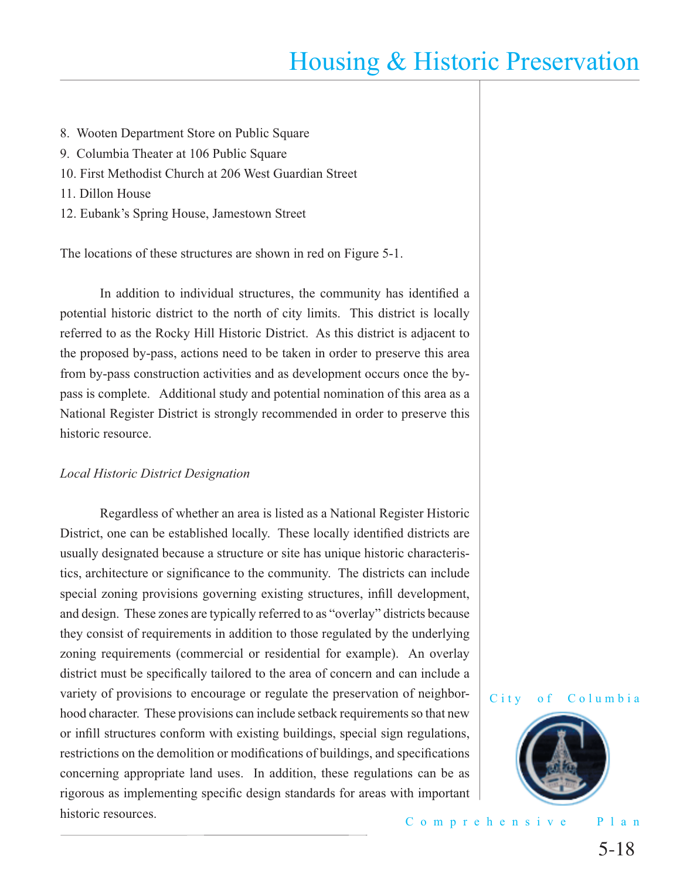- 8. Wooten Department Store on Public Square
- 9. Columbia Theater at 106 Public Square
- 10. First Methodist Church at 206 West Guardian Street
- 11. Dillon House
- 12. Eubank's Spring House, Jamestown Street

The locations of these structures are shown in red on Figure 5-1.

In addition to individual structures, the community has identified a potential historic district to the north of city limits. This district is locally referred to as the Rocky Hill Historic District. As this district is adjacent to the proposed by-pass, actions need to be taken in order to preserve this area from by-pass construction activities and as development occurs once the bypass is complete. Additional study and potential nomination of this area as a National Register District is strongly recommended in order to preserve this historic resource.

#### *Local Historic District Designation*

 Regardless of whether an area is listed as a National Register Historic District, one can be established locally. These locally identified districts are usually designated because a structure or site has unique historic characteristics, architecture or significance to the community. The districts can include special zoning provisions governing existing structures, infill development, and design. These zones are typically referred to as "overlay" districts because they consist of requirements in addition to those regulated by the underlying zoning requirements (commercial or residential for example). An overlay district must be specifically tailored to the area of concern and can include a variety of provisions to encourage or regulate the preservation of neighborhood character. These provisions can include setback requirements so that new or infill structures conform with existing buildings, special sign regulations, restrictions on the demolition or modifications of buildings, and specifications concerning appropriate land uses. In addition, these regulations can be as rigorous as implementing specific design standards for areas with important historic resources.

#### City of Columbia



Comprehensive Plan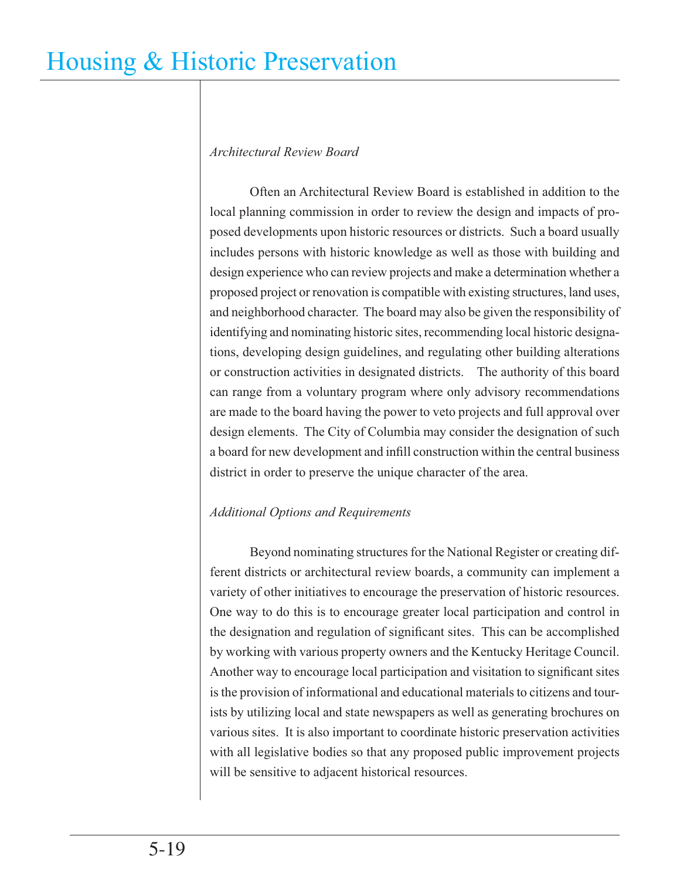## *Architectural Review Board*

 Often an Architectural Review Board is established in addition to the local planning commission in order to review the design and impacts of proposed developments upon historic resources or districts. Such a board usually includes persons with historic knowledge as well as those with building and design experience who can review projects and make a determination whether a proposed project or renovation is compatible with existing structures, land uses, and neighborhood character. The board may also be given the responsibility of identifying and nominating historic sites, recommending local historic designations, developing design guidelines, and regulating other building alterations or construction activities in designated districts. The authority of this board can range from a voluntary program where only advisory recommendations are made to the board having the power to veto projects and full approval over design elements. The City of Columbia may consider the designation of such a board for new development and infill construction within the central business district in order to preserve the unique character of the area.

## *Additional Options and Requirements*

 Beyond nominating structures for the National Register or creating different districts or architectural review boards, a community can implement a variety of other initiatives to encourage the preservation of historic resources. One way to do this is to encourage greater local participation and control in the designation and regulation of significant sites. This can be accomplished by working with various property owners and the Kentucky Heritage Council. Another way to encourage local participation and visitation to significant sites is the provision of informational and educational materials to citizens and tourists by utilizing local and state newspapers as well as generating brochures on various sites. It is also important to coordinate historic preservation activities with all legislative bodies so that any proposed public improvement projects will be sensitive to adjacent historical resources.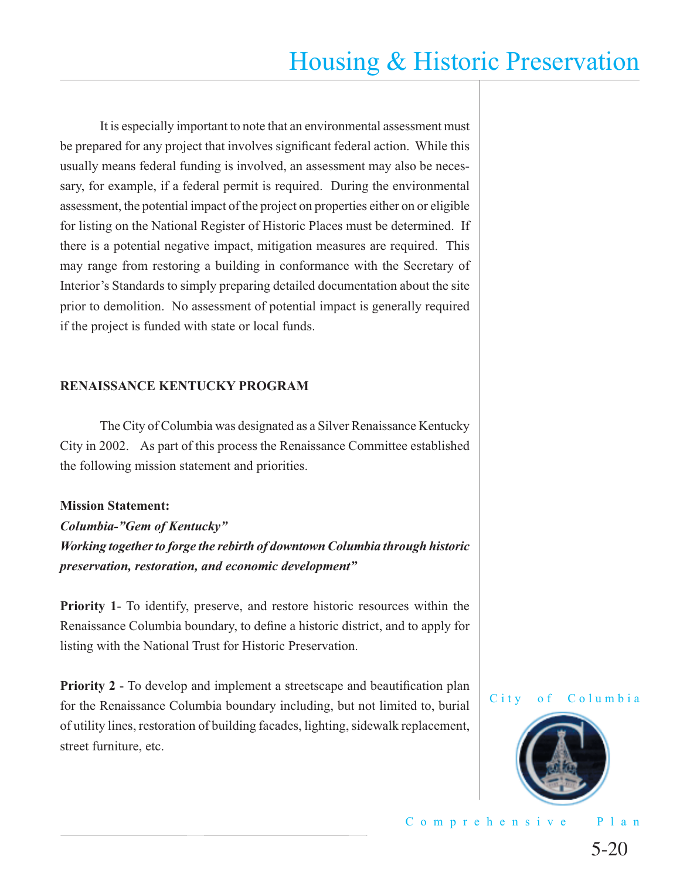It is especially important to note that an environmental assessment must be prepared for any project that involves significant federal action. While this usually means federal funding is involved, an assessment may also be necessary, for example, if a federal permit is required. During the environmental assessment, the potential impact of the project on properties either on or eligible for listing on the National Register of Historic Places must be determined. If there is a potential negative impact, mitigation measures are required. This may range from restoring a building in conformance with the Secretary of Interior's Standards to simply preparing detailed documentation about the site prior to demolition. No assessment of potential impact is generally required if the project is funded with state or local funds.

#### **RENAISSANCE KENTUCKY PROGRAM**

The City of Columbia was designated as a Silver Renaissance Kentucky City in 2002. As part of this process the Renaissance Committee established the following mission statement and priorities.

#### **Mission Statement:**

*Columbia-"Gem of Kentucky" Working together to forge the rebirth of downtown Columbia through historic preservation, restoration, and economic development"*

**Priority 1**- To identify, preserve, and restore historic resources within the Renaissance Columbia boundary, to define a historic district, and to apply for listing with the National Trust for Historic Preservation.

**Priority 2** - To develop and implement a streetscape and beautification plan for the Renaissance Columbia boundary including, but not limited to, burial of utility lines, restoration of building facades, lighting, sidewalk replacement, street furniture, etc.



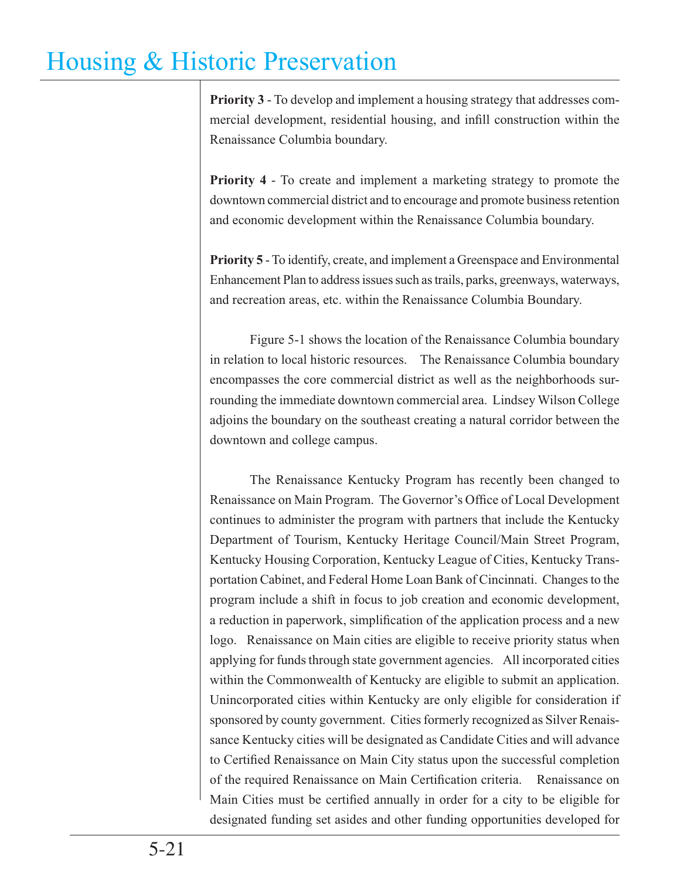**Priority 3** - To develop and implement a housing strategy that addresses commercial development, residential housing, and infill construction within the Renaissance Columbia boundary.

**Priority 4** - To create and implement a marketing strategy to promote the downtown commercial district and to encourage and promote business retention and economic development within the Renaissance Columbia boundary.

**Priority 5** - To identify, create, and implement a Greenspace and Environmental Enhancement Plan to address issues such as trails, parks, greenways, waterways, and recreation areas, etc. within the Renaissance Columbia Boundary.

 Figure 5-1 shows the location of the Renaissance Columbia boundary in relation to local historic resources. The Renaissance Columbia boundary encompasses the core commercial district as well as the neighborhoods surrounding the immediate downtown commercial area. Lindsey Wilson College adjoins the boundary on the southeast creating a natural corridor between the downtown and college campus.

 The Renaissance Kentucky Program has recently been changed to Renaissance on Main Program. The Governor's Office of Local Development continues to administer the program with partners that include the Kentucky Department of Tourism, Kentucky Heritage Council/Main Street Program, Kentucky Housing Corporation, Kentucky League of Cities, Kentucky Transportation Cabinet, and Federal Home Loan Bank of Cincinnati. Changes to the program include a shift in focus to job creation and economic development, a reduction in paperwork, simplification of the application process and a new logo. Renaissance on Main cities are eligible to receive priority status when applying for funds through state government agencies. All incorporated cities within the Commonwealth of Kentucky are eligible to submit an application. Unincorporated cities within Kentucky are only eligible for consideration if sponsored by county government. Cities formerly recognized as Silver Renaissance Kentucky cities will be designated as Candidate Cities and will advance to Certified Renaissance on Main City status upon the successful completion of the required Renaissance on Main Certification criteria. Renaissance on Main Cities must be certified annually in order for a city to be eligible for designated funding set asides and other funding opportunities developed for